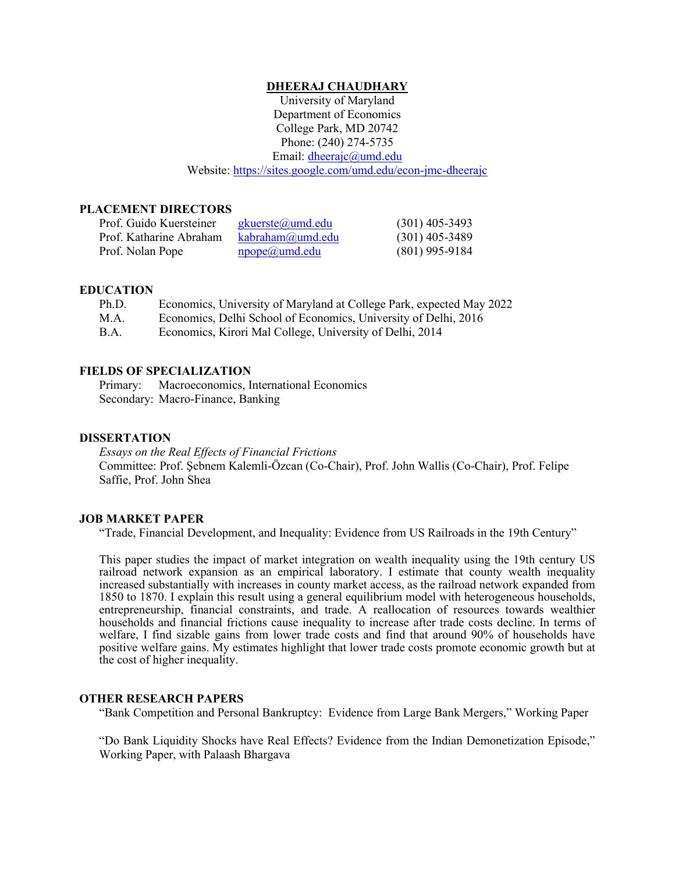#### **DHEERAJ CHAUDHARY**

University of Maryland Department of Economics College Park, MD 20742 Phone: (240) 274-5735 Email: [dheerajc@umd.edu](mailto:dheerajc@umd.edu) Website:<https://sites.google.com/umd.edu/econ-jmc-dheerajc>

#### **PLACEMENT DIRECTORS**

| Prof. Guido Kuersteiner | $gkuerste(\omega)$ umd.edu | $(301)$ 405-3493 |
|-------------------------|----------------------------|------------------|
| Prof. Katharine Abraham | kabraham@umd.edu           | $(301)$ 405-3489 |
| Prof. Nolan Pope        | $\text{npope}(a)$ umd.edu  | $(801)$ 995-9184 |

#### **EDUCATION**

| Ph.D.       | Economics, University of Maryland at College Park, expected May 2022 |
|-------------|----------------------------------------------------------------------|
| M.A.        | Economics, Delhi School of Economics, University of Delhi, 2016      |
| <b>B.A.</b> | Economics, Kirori Mal College, University of Delhi, 2014             |

### **FIELDS OF SPECIALIZATION**

Primary: Macroeconomics, International Economics Secondary: Macro-Finance, Banking

### **DISSERTATION**

*Essays on the Real Effects of Financial Frictions* Committee: Prof. Şebnem Kalemli-Özcan (Co-Chair), Prof. John Wallis (Co-Chair), Prof. Felipe Saffie, Prof. John Shea

#### **JOB MARKET PAPER**

"Trade, Financial Development, and Inequality: Evidence from US Railroads in the 19th Century"

This paper studies the impact of market integration on wealth inequality using the 19th century US railroad network expansion as an empirical laboratory. I estimate that county wealth inequality increased substantially with increases in county market access, as the railroad network expanded from 1850 to 1870. I explain this result using a general equilibrium model with heterogeneous households, entrepreneurship, financial constraints, and trade. A reallocation of resources towards wealthier households and financial frictions cause inequality to increase after trade costs decline. In terms of welfare, I find sizable gains from lower trade costs and find that around 90% of households have positive welfare gains. My estimates highlight that lower trade costs promote economic growth but at the cost of higher inequality.

#### **OTHER RESEARCH PAPERS**

"Bank Competition and Personal Bankruptcy: Evidence from Large Bank Mergers," Working Paper

"Do Bank Liquidity Shocks have Real Effects? Evidence from the Indian Demonetization Episode," Working Paper, with Palaash Bhargava